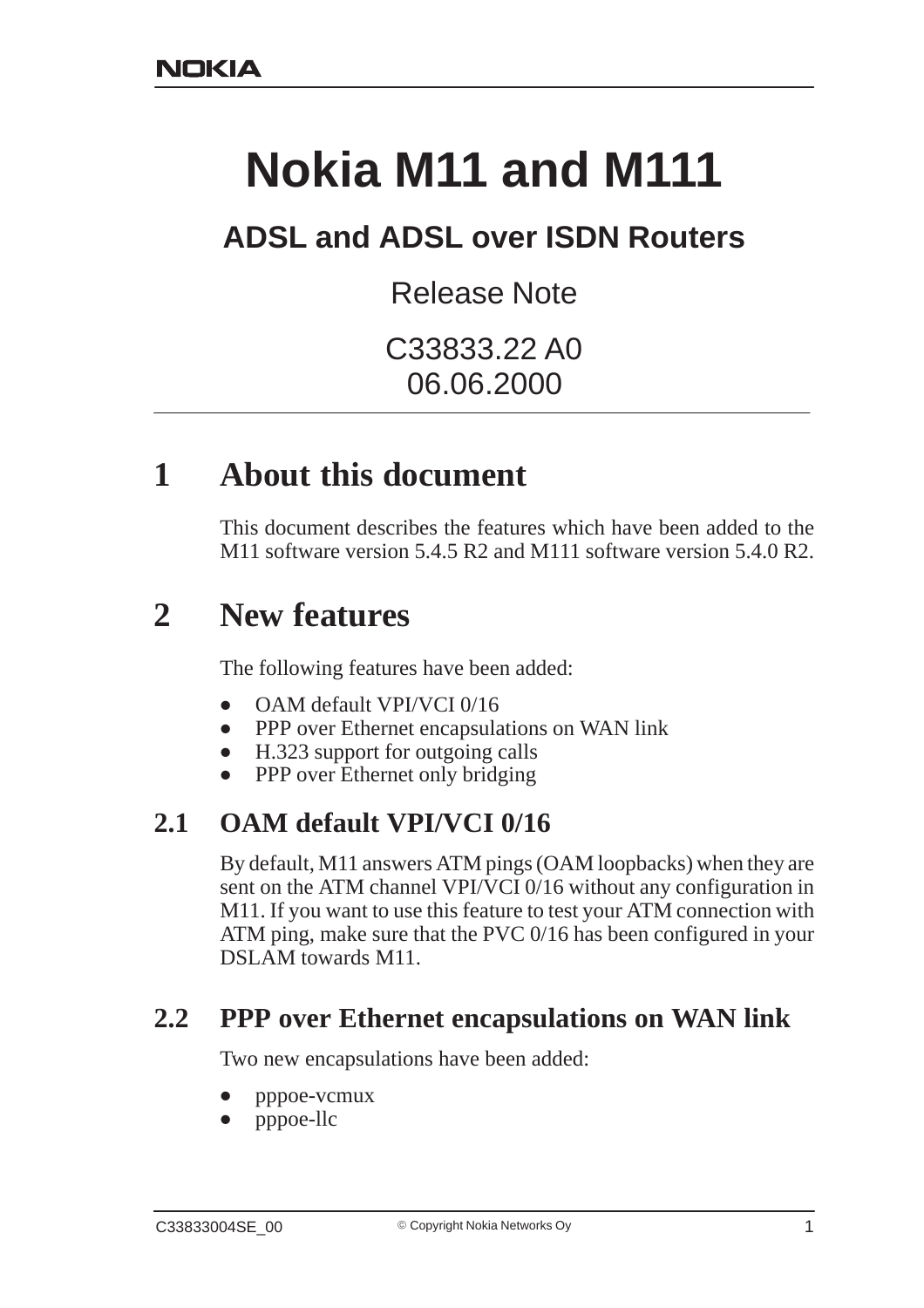# **Nokia M11 and M111**

# **ADSL and ADSL over ISDN Routers**

Release Note

C33833.22 A0 06.06.2000

## **1 About this document**

This document describes the features which have been added to the M<sub>11</sub> software version 5.4.5 R<sub>2</sub> and M<sub>111</sub> software version 5.4.0 R<sub>2</sub>.

# **2 New features**

The following features have been added:

- $\bullet$ OAM default VPI/VCI 0/16
- $\bullet$ PPP over Ethernet encapsulations on WAN link
- $\bullet$ H.323 support for outgoing calls
- $\bullet$ PPP over Ethernet only bridging

#### **2.1 OAM default VPI/VCI 0/16**

By default, M11 answers ATM pings (OAM loopbacks) when they are sent on the ATM channel VPI/VCI 0/16 without any configuration in M11. If you want to use this feature to test your ATM connection with ATM ping, make sure that the PVC 0/16 has been configured in your DSLAM towards M11.

#### **2.2 PPP over Ethernet encapsulations on WAN link**

Two new encapsulations have been added:

- $\bullet$ pppoe-vcmux
- $\bullet$ pppoe-llc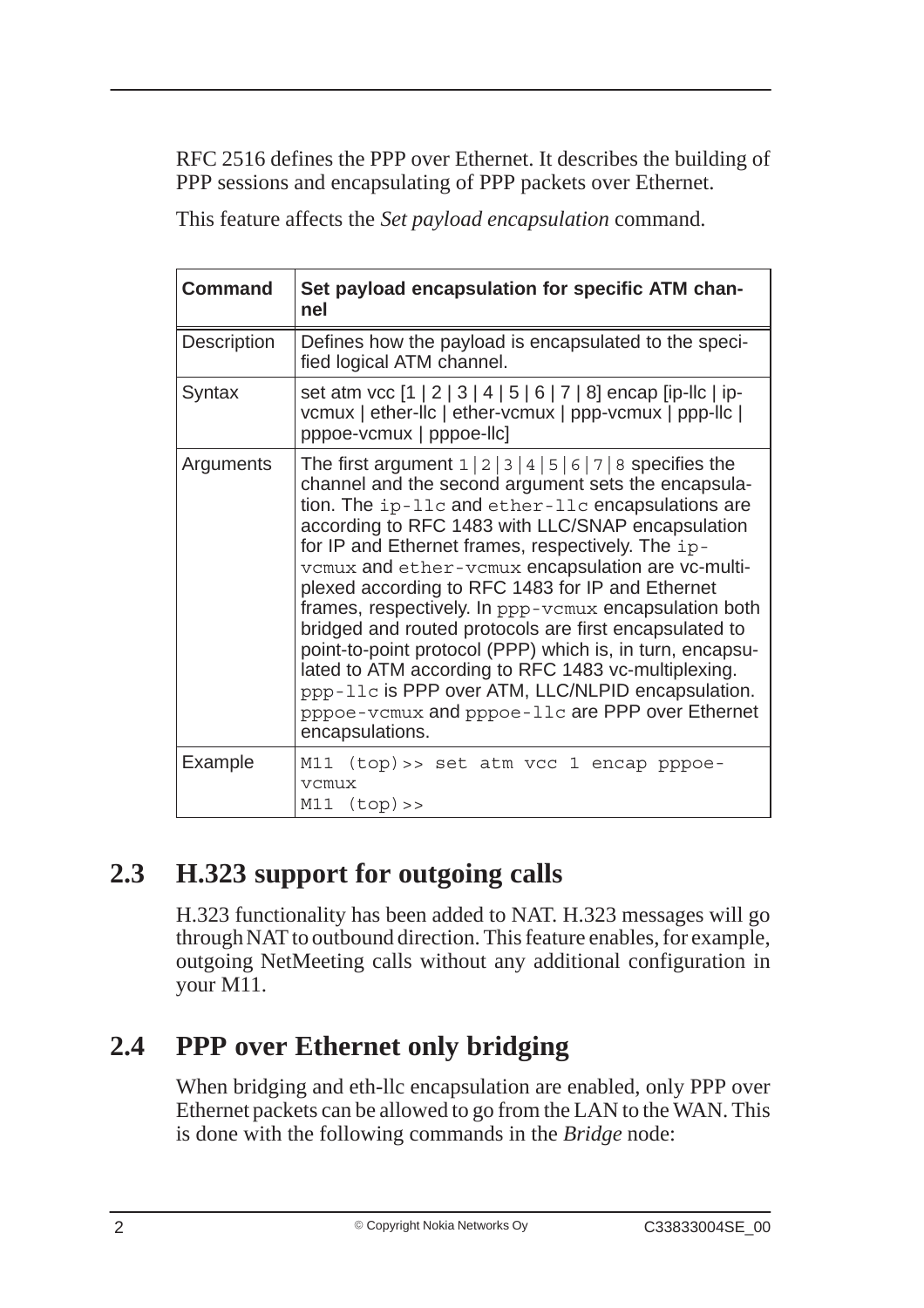RFC 2516 defines the PPP over Ethernet. It describes the building of PPP sessions and encapsulating of PPP packets over Ethernet.

This feature affects the *Set payload encapsulation* command.

| <b>Command</b>     | Set payload encapsulation for specific ATM chan-<br>nel                                                                                                                                                                                                                                                                                                                                                                                                                                                                                                                                                                                                                                                                                                                                |
|--------------------|----------------------------------------------------------------------------------------------------------------------------------------------------------------------------------------------------------------------------------------------------------------------------------------------------------------------------------------------------------------------------------------------------------------------------------------------------------------------------------------------------------------------------------------------------------------------------------------------------------------------------------------------------------------------------------------------------------------------------------------------------------------------------------------|
| <b>Description</b> | Defines how the payload is encapsulated to the speci-<br>fied logical ATM channel.                                                                                                                                                                                                                                                                                                                                                                                                                                                                                                                                                                                                                                                                                                     |
| Syntax             | set atm vcc [1   2   3   4   5   6   7   8] encap [ip-llc   ip-<br>vcmux   ether-llc   ether-vcmux   ppp-vcmux   ppp-llc  <br>pppoe-vcmux   pppoe-llc]                                                                                                                                                                                                                                                                                                                                                                                                                                                                                                                                                                                                                                 |
| Arguments          | The first argument $1 \mid 2 \mid 3 \mid 4 \mid 5 \mid 6 \mid 7 \mid 8$ specifies the<br>channel and the second argument sets the encapsula-<br>tion. The ip-llc and ether-llc encapsulations are<br>according to RFC 1483 with LLC/SNAP encapsulation<br>for IP and Ethernet frames, respectively. The ip-<br>vcmux and ether-vcmux encapsulation are vc-multi-<br>plexed according to RFC 1483 for IP and Ethernet<br>frames, respectively. In ppp-vcmux encapsulation both<br>bridged and routed protocols are first encapsulated to<br>point-to-point protocol (PPP) which is, in turn, encapsu-<br>lated to ATM according to RFC 1483 vc-multiplexing.<br>ppp-11c is PPP over ATM, LLC/NLPID encapsulation.<br>pppoe-vcmux and pppoe-11c are PPP over Ethernet<br>encapsulations. |
| Example            | M11 (top) >> set atm vcc 1 encap pppoe-<br>vcmux<br>M11 (top)                                                                                                                                                                                                                                                                                                                                                                                                                                                                                                                                                                                                                                                                                                                          |

## **2.3 H.323 support for outgoing calls**

H.323 functionality has been added to NAT. H.323 messages will go through NAT to outbound direction. This feature enables, for example, outgoing NetMeeting calls without any additional configuration in your M11.

## **2.4 PPP over Ethernet only bridging**

When bridging and eth-llc encapsulation are enabled, only PPP over Ethernet packets can be allowed to go from the LAN to the WAN. This is done with the following commands in the *Bridge* node: